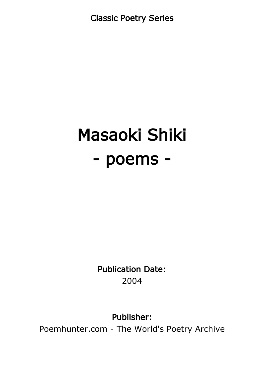Classic Poetry Series

# Masaoki Shiki - poems -

Publication Date: 2004

Publisher:

Poemhunter.com - The World's Poetry Archive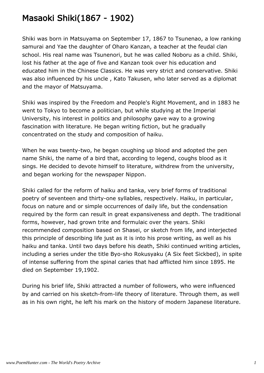## Masaoki Shiki(1867 - 1902)

Shiki was born in Matsuyama on September 17, 1867 to Tsunenao, a low ranking samurai and Yae the daughter of Oharo Kanzan, a teacher at the feudal clan school. His real name was Tsunenori, but he was called Noboru as a child. Shiki, lost his father at the age of five and Kanzan took over his education and educated him in the Chinese Classics. He was very strict and conservative. Shiki was also influenced by his uncle , Kato Takusen, who later served as a diplomat and the mayor of Matsuyama.

Shiki was inspired by the Freedom and People's Right Movement, and in 1883 he went to Tokyo to become a politician, but while studying at the Imperial University, his interest in politics and philosophy gave way to a growing fascination with literature. He began writing fiction, but he gradually concentrated on the study and composition of haiku.

When he was twenty-two, he began coughing up blood and adopted the pen name Shiki, the name of a bird that, according to legend, coughs blood as it sings. He decided to devote himself to literature, withdrew from the university, and began working for the newspaper Nippon.

Shiki called for the reform of haiku and tanka, very brief forms of traditional poetry of seventeen and thirty-one syllables, respectively. Haiku, in particular, focus on nature and or simple occurrences of daily life, but the condensation required by the form can result in great expansiveness and depth. The traditional forms, however, had grown trite and formulaic over the years. Shiki recommended composition based on Shasei, or sketch from life, and interjected this principle of describing life just as it is into his prose writing, as well as his haiku and tanka. Until two days before his death, Shiki continued writing articles, including a series under the title Byo-sho Rokusyaku (A Six feet Sickbed), in spite of intense suffering from the spinal caries that had afflicted him since 1895. He died on September 19,1902.

During his brief life, Shiki attracted a number of followers, who were influenced by and carried on his sketch-from-life theory of literature. Through them, as well as in his own right, he left his mark on the history of modern Japanese literature.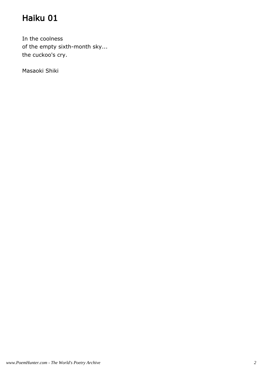In the coolness of the empty sixth-month sky... the cuckoo's cry.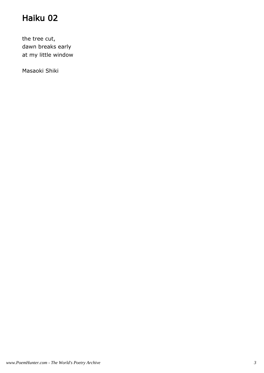the tree cut, dawn breaks early at my little window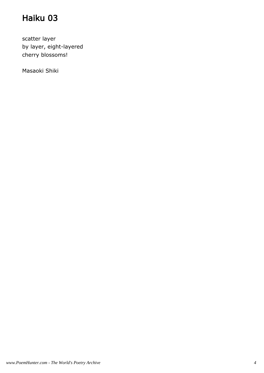scatter layer by layer, eight-layered cherry blossoms!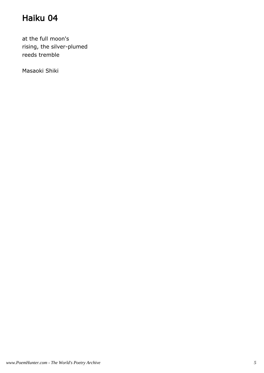at the full moon's rising, the silver-plumed reeds tremble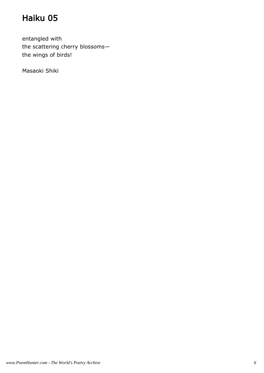entangled with the scattering cherry blossoms the wings of birds!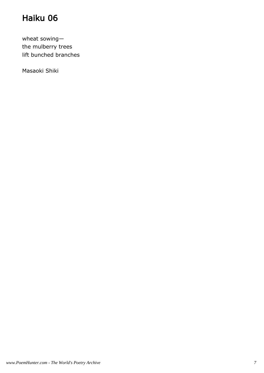wheat sowing the mulberry trees lift bunched branches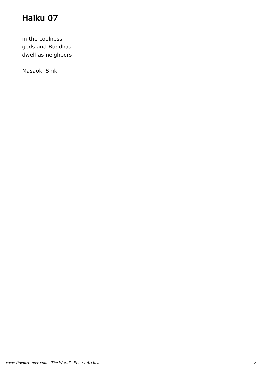in the coolness gods and Buddhas dwell as neighbors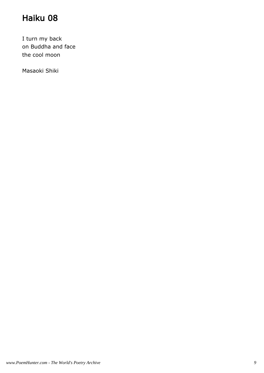I turn my back on Buddha and face the cool moon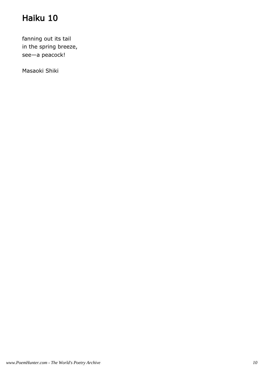fanning out its tail in the spring breeze, see—a peacock!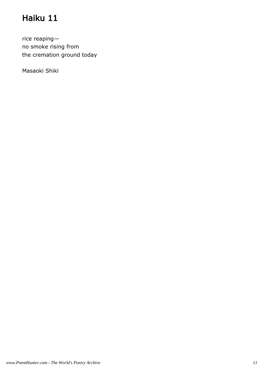rice reaping no smoke rising from the cremation ground today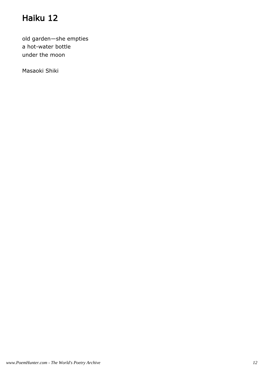old garden—she empties a hot-water bottle under the moon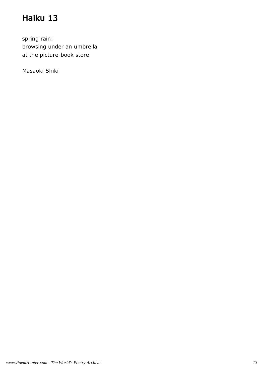spring rain: browsing under an umbrella at the picture-book store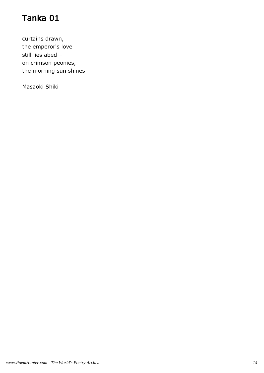curtains drawn, the emperor's love still lies abed on crimson peonies, the morning sun shines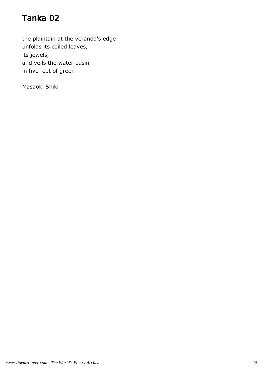the plaintain at the veranda's edge unfolds its coiled leaves, its jewels, and veils the water basin in five feet of green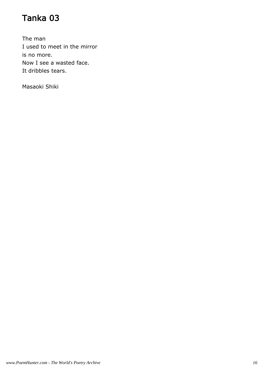The man I used to meet in the mirror is no more. Now I see a wasted face. It dribbles tears.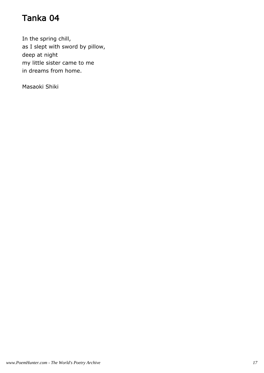In the spring chill, as I slept with sword by pillow, deep at night my little sister came to me in dreams from home.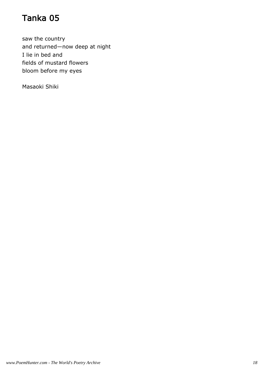saw the country and returned—now deep at night I lie in bed and fields of mustard flowers bloom before my eyes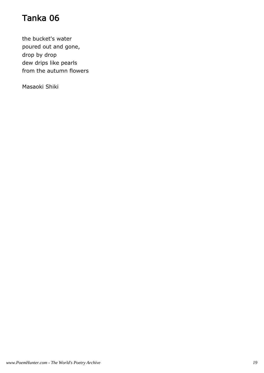the bucket's water poured out and gone, drop by drop dew drips like pearls from the autumn flowers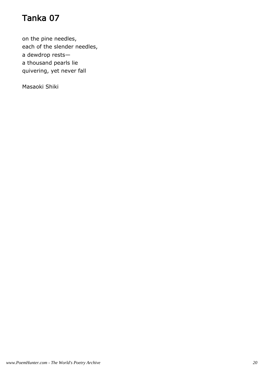on the pine needles, each of the slender needles, a dewdrop rests a thousand pearls lie quivering, yet never fall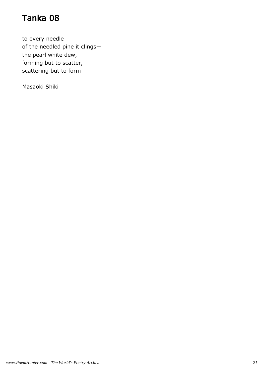to every needle of the needled pine it clings the pearl white dew, forming but to scatter, scattering but to form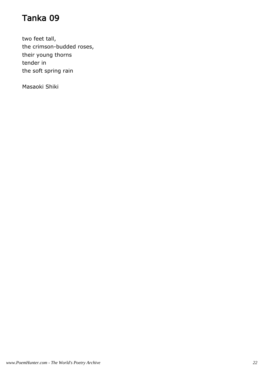two feet tall, the crimson-budded roses, their young thorns tender in the soft spring rain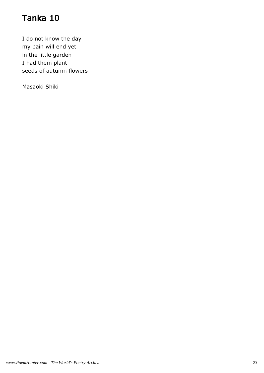I do not know the day my pain will end yet in the little garden I had them plant seeds of autumn flowers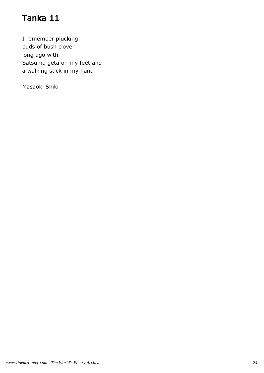I remember plucking buds of bush clover long ago with Satsuma geta on my feet and a walking stick in my hand